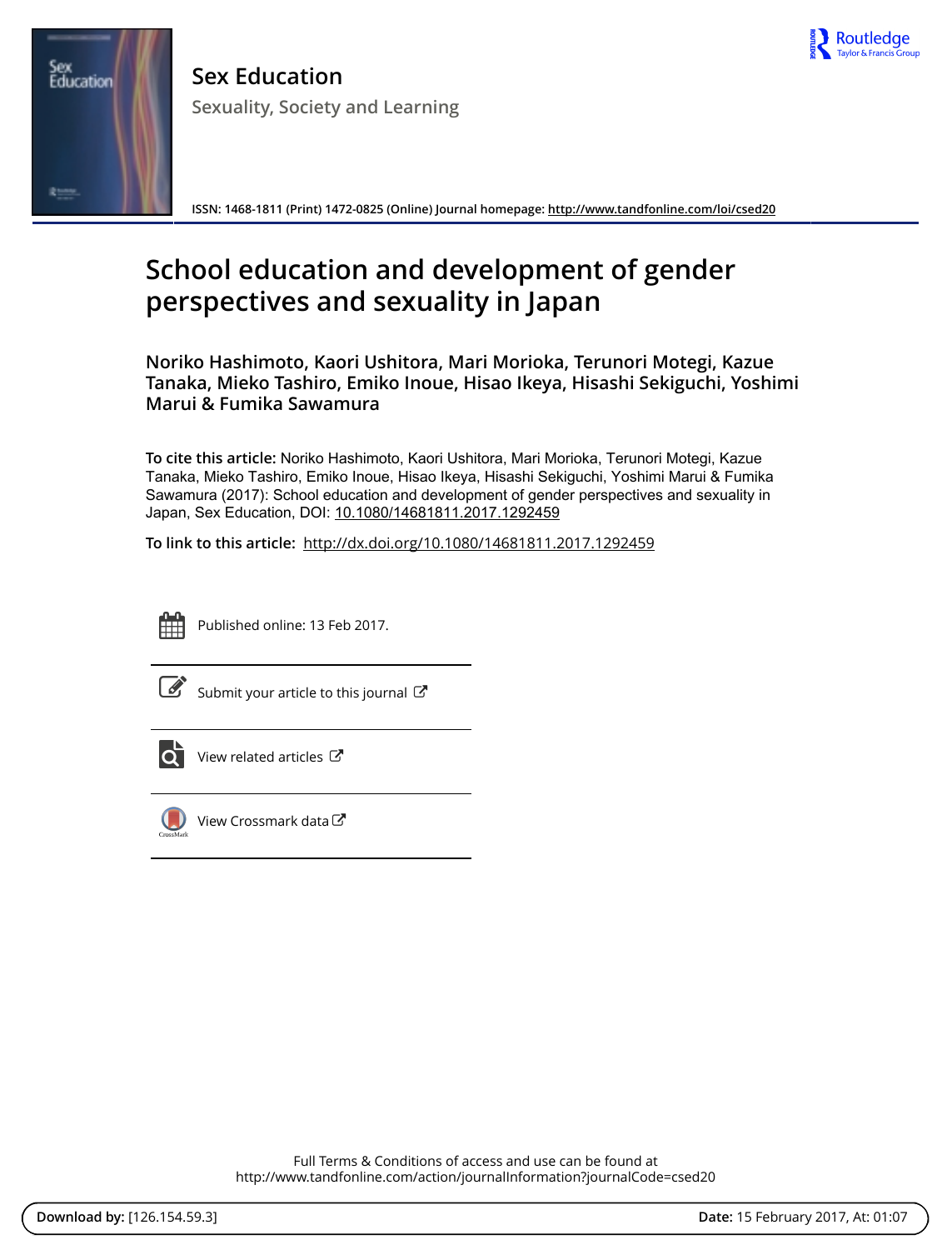

Sex<br>Education 変生性

**Sex Education Sexuality, Society and Learning**

**ISSN: 1468-1811 (Print) 1472-0825 (Online) Journal homepage:<http://www.tandfonline.com/loi/csed20>**

# **School education and development of gender perspectives and sexuality in Japan**

**Noriko Hashimoto, Kaori Ushitora, Mari Morioka, Terunori Motegi, Kazue Tanaka, Mieko Tashiro, Emiko Inoue, Hisao Ikeya, Hisashi Sekiguchi, Yoshimi Marui & Fumika Sawamura**

**To cite this article:** Noriko Hashimoto, Kaori Ushitora, Mari Morioka, Terunori Motegi, Kazue Tanaka, Mieko Tashiro, Emiko Inoue, Hisao Ikeya, Hisashi Sekiguchi, Yoshimi Marui & Fumika Sawamura (2017): School education and development of gender perspectives and sexuality in Japan, Sex Education, DOI: [10.1080/14681811.2017.1292459](http://www.tandfonline.com/action/showCitFormats?doi=10.1080/14681811.2017.1292459)

**To link to this article:** <http://dx.doi.org/10.1080/14681811.2017.1292459>



Published online: 13 Feb 2017.

[Submit your article to this journal](http://www.tandfonline.com/action/authorSubmission?journalCode=csed20&show=instructions)  $\mathbb{Z}$ 



[View related articles](http://www.tandfonline.com/doi/mlt/10.1080/14681811.2017.1292459)  $\mathbb{Z}$ 



[View Crossmark data](http://crossmark.crossref.org/dialog/?doi=10.1080/14681811.2017.1292459&domain=pdf&date_stamp=2017-02-13)

Full Terms & Conditions of access and use can be found at <http://www.tandfonline.com/action/journalInformation?journalCode=csed20>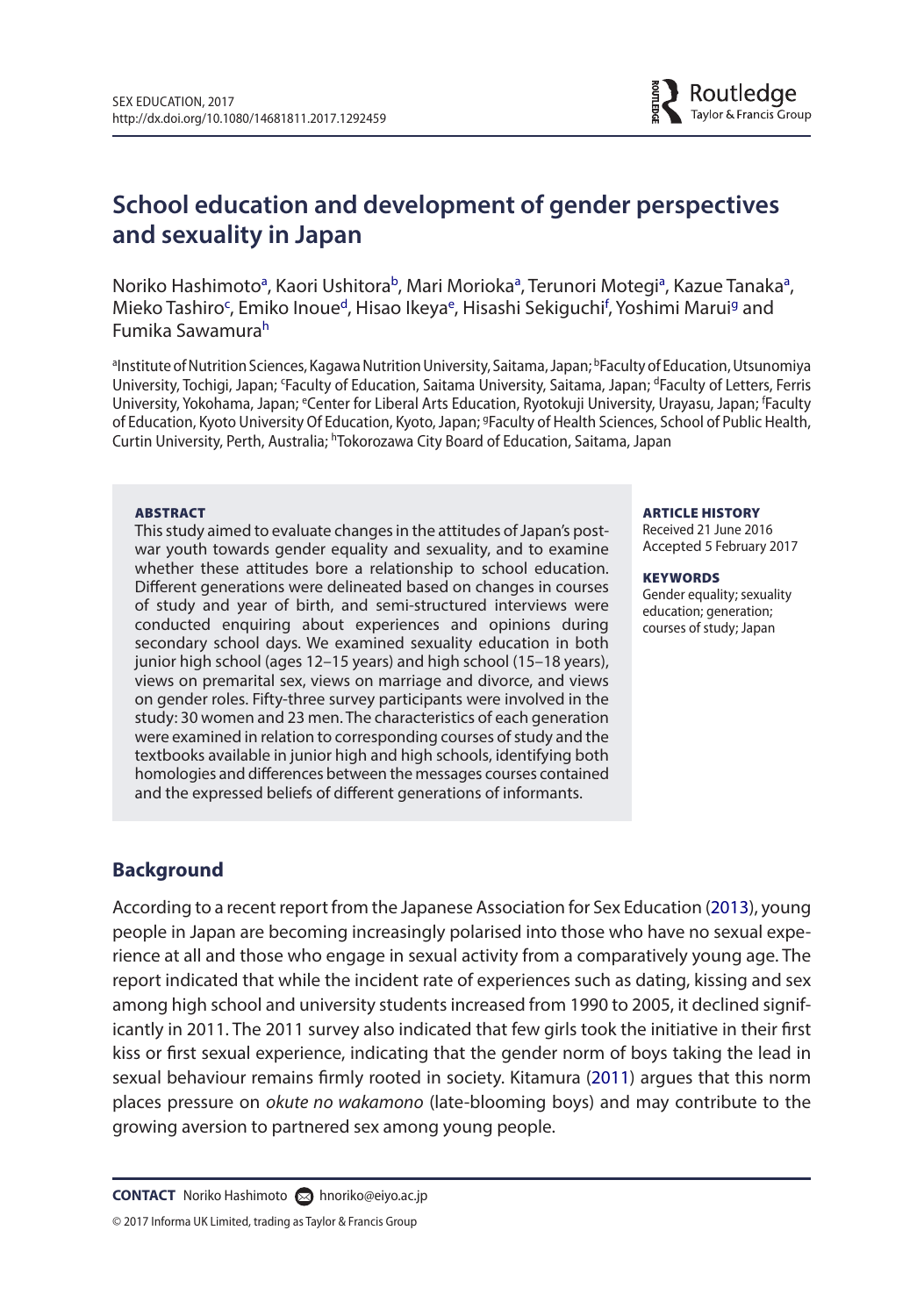

**School education and development of gender perspectives and sexuality in Japan**

Noriko H[a](#page-1-0)shimoto<sup>a</sup>, Kaori Ushitora<sup>b</sup>, Mari Morioka<sup>a</sup>, Terunori Motegi<sup>a</sup>, Kazue Tanaka<sup>a</sup>, Mieko Tashiro<sup>[c](#page-1-2)</sup>, Emiko Inoue<sup>d</sup>, Hisao Ikeya<sup>e</sup>, Hisashi Seki[g](#page-1-6)uchi<sup>f</sup>, Yoshimi Marui<sup>g</sup> and Fumika Sawamur[ah](#page-1-7)

<span id="page-1-7"></span><span id="page-1-6"></span><span id="page-1-4"></span><span id="page-1-2"></span><span id="page-1-1"></span><span id="page-1-0"></span>aInstitute of Nutrition Sciences, Kagawa Nutrition University, Saitama, Japan; bFaculty of Education, Utsunomiya University, Tochigi, Japan; 'Faculty of Education, Saitama University, Saitama, Japan; <sup>d</sup>Faculty of Letters, Ferris University, Yokohama, Japan; <sup>e</sup>Center for Liberal Arts Education, Ryotokuji University, Urayasu, Japan; <sup>f</sup>Faculty of Education, Kyoto University Of Education, Kyoto, Japan; <sup>g</sup>Faculty of Health Sciences, School of Public Health, Curtin University, Perth, Australia; <sup>h</sup>Tokorozawa City Board of Education, Saitama, Japan

#### **ABSTRACT**

This study aimed to evaluate changes in the attitudes of Japan's postwar youth towards gender equality and sexuality, and to examine whether these attitudes bore a relationship to school education. Different generations were delineated based on changes in courses of study and year of birth, and semi-structured interviews were conducted enquiring about experiences and opinions during secondary school days. We examined sexuality education in both junior high school (ages 12–15 years) and high school (15–18 years), views on premarital sex, views on marriage and divorce, and views on gender roles. Fifty-three survey participants were involved in the study: 30 women and 23 men. The characteristics of each generation were examined in relation to corresponding courses of study and the textbooks available in junior high and high schools, identifying both homologies and differences between the messages courses contained and the expressed beliefs of different generations of informants.

#### <span id="page-1-5"></span><span id="page-1-3"></span>ARTICLE HISTORY

Received 21 June 2016 Accepted 5 February 2017

#### **KEYWORDS**

<span id="page-1-9"></span><span id="page-1-8"></span>Gender equality; sexuality education; generation; courses of study; Japan

## **Background**

According to a recent report from the Japanese Association for Sex Education [\(2013](#page-13-0)), young people in Japan are becoming increasingly polarised into those who have no sexual experience at all and those who engage in sexual activity from a comparatively young age. The report indicated that while the incident rate of experiences such as dating, kissing and sex among high school and university students increased from 1990 to 2005, it declined significantly in 2011. The 2011 survey also indicated that few girls took the initiative in their first kiss or first sexual experience, indicating that the gender norm of boys taking the lead in sexual behaviour remains firmly rooted in society. Kitamura ([2011](#page-13-1)) argues that this norm places pressure on *okute no wakamono* (late-blooming boys) and may contribute to the growing aversion to partnered sex among young people.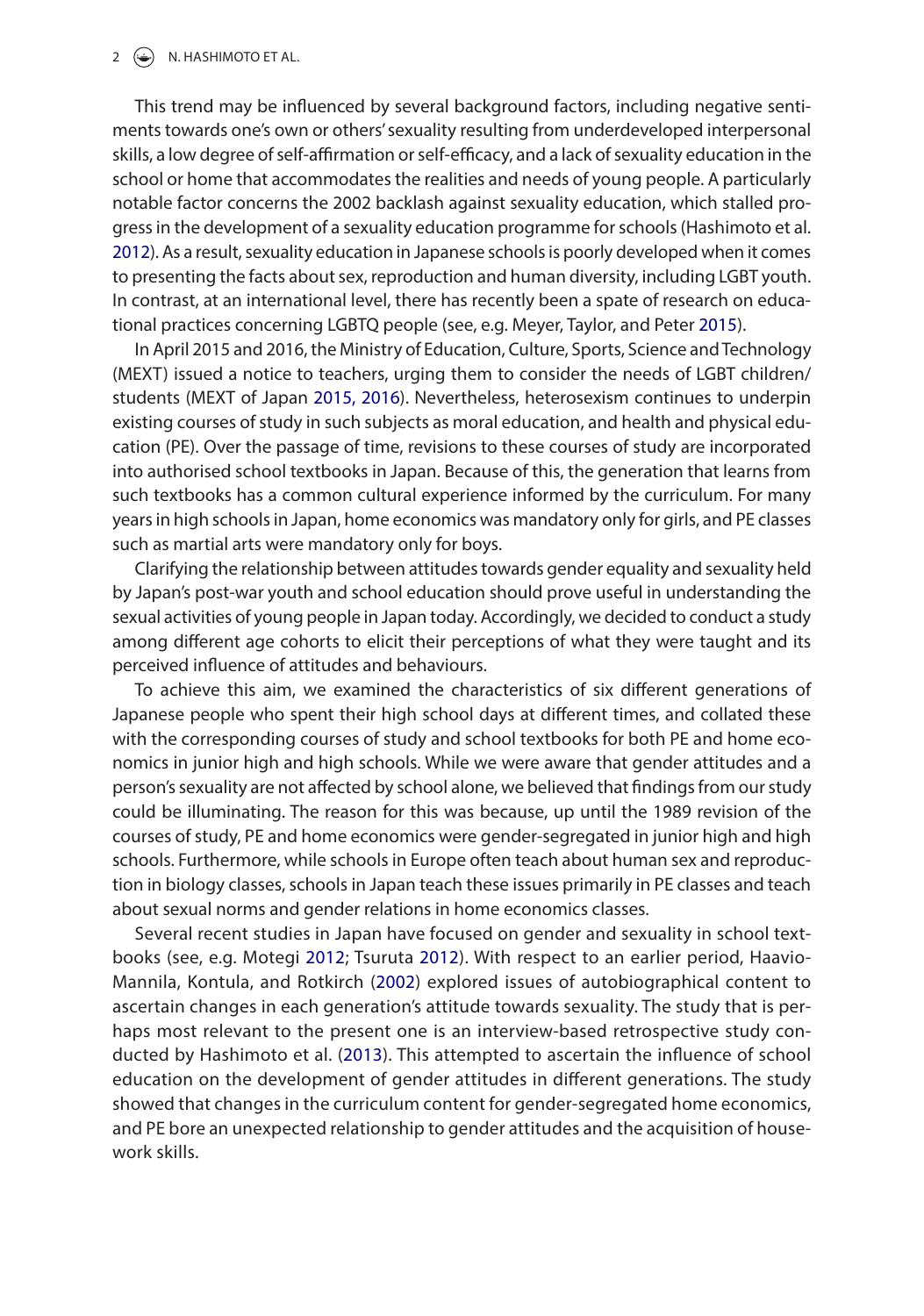#### $2 \left( \bigoplus \right)$  N. HASHIMOTO ET AL.

This trend may be influenced by several background factors, including negative sentiments towards one's own or others' sexuality resulting from underdeveloped interpersonal skills, a low degree of self-affirmation or self-efficacy, and a lack of sexuality education in the school or home that accommodates the realities and needs of young people. A particularly notable factor concerns the 2002 backlash against sexuality education, which stalled progress in the development of a sexuality education programme for schools (Hashimoto et al. [2012](#page-13-2)). As a result, sexuality education in Japanese schools is poorly developed when it comes to presenting the facts about sex, reproduction and human diversity, including LGBT youth. In contrast, at an international level, there has recently been a spate of research on educational practices concerning LGBTQ people (see, e.g. Meyer, Taylor, and Peter [2015\)](#page-13-3).

<span id="page-2-3"></span><span id="page-2-1"></span>In April 2015 and 2016, the Ministry of Education, Culture, Sports, Science and Technology (MEXT) issued a notice to teachers, urging them to consider the needs of LGBT children/ students (MEXT of Japan [2015, 2016\)](#page-13-4). Nevertheless, heterosexism continues to underpin existing courses of study in such subjects as moral education, and health and physical education (PE). Over the passage of time, revisions to these courses of study are incorporated into authorised school textbooks in Japan. Because of this, the generation that learns from such textbooks has a common cultural experience informed by the curriculum. For many years in high schools in Japan, home economics was mandatory only for girls, and PE classes such as martial arts were mandatory only for boys.

Clarifying the relationship between attitudes towards gender equality and sexuality held by Japan's post-war youth and school education should prove useful in understanding the sexual activities of young people in Japan today. Accordingly, we decided to conduct a study among different age cohorts to elicit their perceptions of what they were taught and its perceived influence of attitudes and behaviours.

To achieve this aim, we examined the characteristics of six different generations of Japanese people who spent their high school days at different times, and collated these with the corresponding courses of study and school textbooks for both PE and home economics in junior high and high schools. While we were aware that gender attitudes and a person's sexuality are not affected by school alone, we believed that findings from our study could be illuminating. The reason for this was because, up until the 1989 revision of the courses of study, PE and home economics were gender-segregated in junior high and high schools. Furthermore, while schools in Europe often teach about human sex and reproduction in biology classes, schools in Japan teach these issues primarily in PE classes and teach about sexual norms and gender relations in home economics classes.

<span id="page-2-5"></span><span id="page-2-4"></span><span id="page-2-2"></span><span id="page-2-0"></span>Several recent studies in Japan have focused on gender and sexuality in school textbooks (see, e.g. Motegi [2012](#page-13-5); Tsuruta [2012](#page-13-6)). With respect to an earlier period, Haavio-Mannila, Kontula, and Rotkirch ([2002\)](#page-13-7) explored issues of autobiographical content to ascertain changes in each generation's attitude towards sexuality. The study that is perhaps most relevant to the present one is an interview-based retrospective study conducted by Hashimoto et al. [\(2013](#page-13-8)). This attempted to ascertain the influence of school education on the development of gender attitudes in different generations. The study showed that changes in the curriculum content for gender-segregated home economics, and PE bore an unexpected relationship to gender attitudes and the acquisition of housework skills.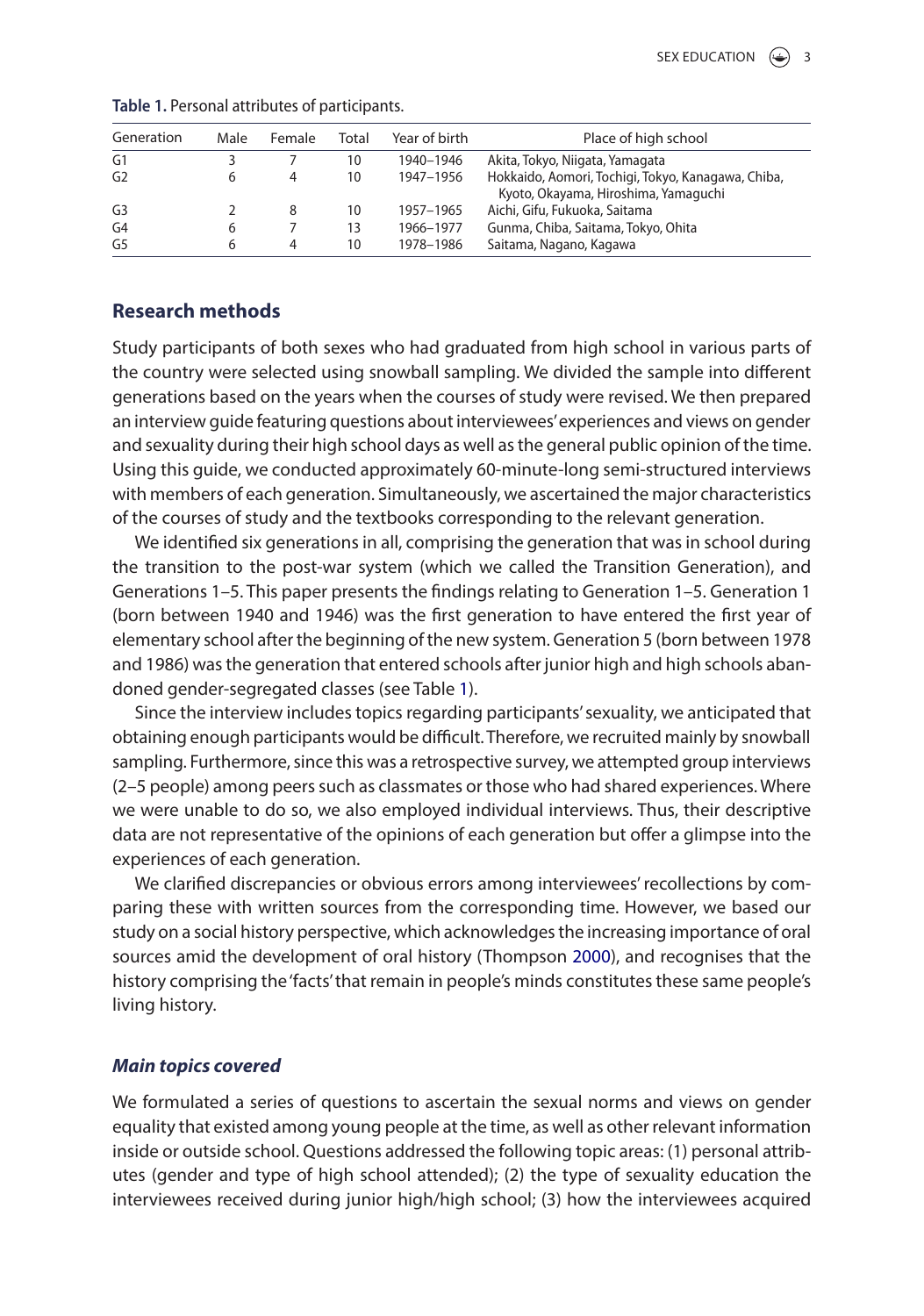| Generation     | Male | Female | Total | Year of birth | Place of high school                                                                       |
|----------------|------|--------|-------|---------------|--------------------------------------------------------------------------------------------|
| G <sub>1</sub> |      |        | 10    | 1940-1946     | Akita, Tokyo, Niigata, Yamagata                                                            |
| G <sub>2</sub> |      |        | 10    | 1947-1956     | Hokkaido, Aomori, Tochigi, Tokyo, Kanagawa, Chiba,<br>Kyoto, Okayama, Hiroshima, Yamaguchi |
| G <sub>3</sub> |      | 8      | 10    | 1957-1965     | Aichi, Gifu, Fukuoka, Saitama                                                              |
| G <sub>4</sub> | 6    |        | 13    | 1966-1977     | Gunma, Chiba, Saitama, Tokyo, Ohita                                                        |
| G <sub>5</sub> | h    | 4      | 10    | 1978–1986     | Saitama, Nagano, Kagawa                                                                    |

#### **Table 1.** Personal attributes of participants.

# **Research methods**

Study participants of both sexes who had graduated from high school in various parts of the country were selected using snowball sampling. We divided the sample into different generations based on the years when the courses of study were revised. We then prepared an interview guide featuring questions about interviewees' experiences and views on gender and sexuality during their high school days as well as the general public opinion of the time. Using this guide, we conducted approximately 60-minute-long semi-structured interviews with members of each generation. Simultaneously, we ascertained the major characteristics of the courses of study and the textbooks corresponding to the relevant generation.

We identified six generations in all, comprising the generation that was in school during the transition to the post-war system (which we called the Transition Generation), and Generations 1–5. This paper presents the findings relating to Generation 1–5. Generation 1 (born between 1940 and 1946) was the first generation to have entered the first year of elementary school after the beginning of the new system. Generation 5 (born between 1978 and 1986) was the generation that entered schools after junior high and high schools abandoned gender-segregated classes (see Table 1).

Since the interview includes topics regarding participants' sexuality, we anticipated that obtaining enough participants would be difficult. Therefore, we recruited mainly by snowball sampling. Furthermore, since this was a retrospective survey, we attempted group interviews (2–5 people) among peers such as classmates or those who had shared experiences. Where we were unable to do so, we also employed individual interviews. Thus, their descriptive data are not representative of the opinions of each generation but offer a glimpse into the experiences of each generation.

<span id="page-3-0"></span>We clarified discrepancies or obvious errors among interviewees' recollections by comparing these with written sources from the corresponding time. However, we based our study on a social history perspective, which acknowledges the increasing importance of oral sources amid the development of oral history (Thompson [2000](#page-13-9)), and recognises that the history comprising the 'facts' that remain in people's minds constitutes these same people's living history.

#### *Main topics covered*

We formulated a series of questions to ascertain the sexual norms and views on gender equality that existed among young people at the time, as well as other relevant information inside or outside school. Questions addressed the following topic areas: (1) personal attributes (gender and type of high school attended); (2) the type of sexuality education the interviewees received during junior high/high school; (3) how the interviewees acquired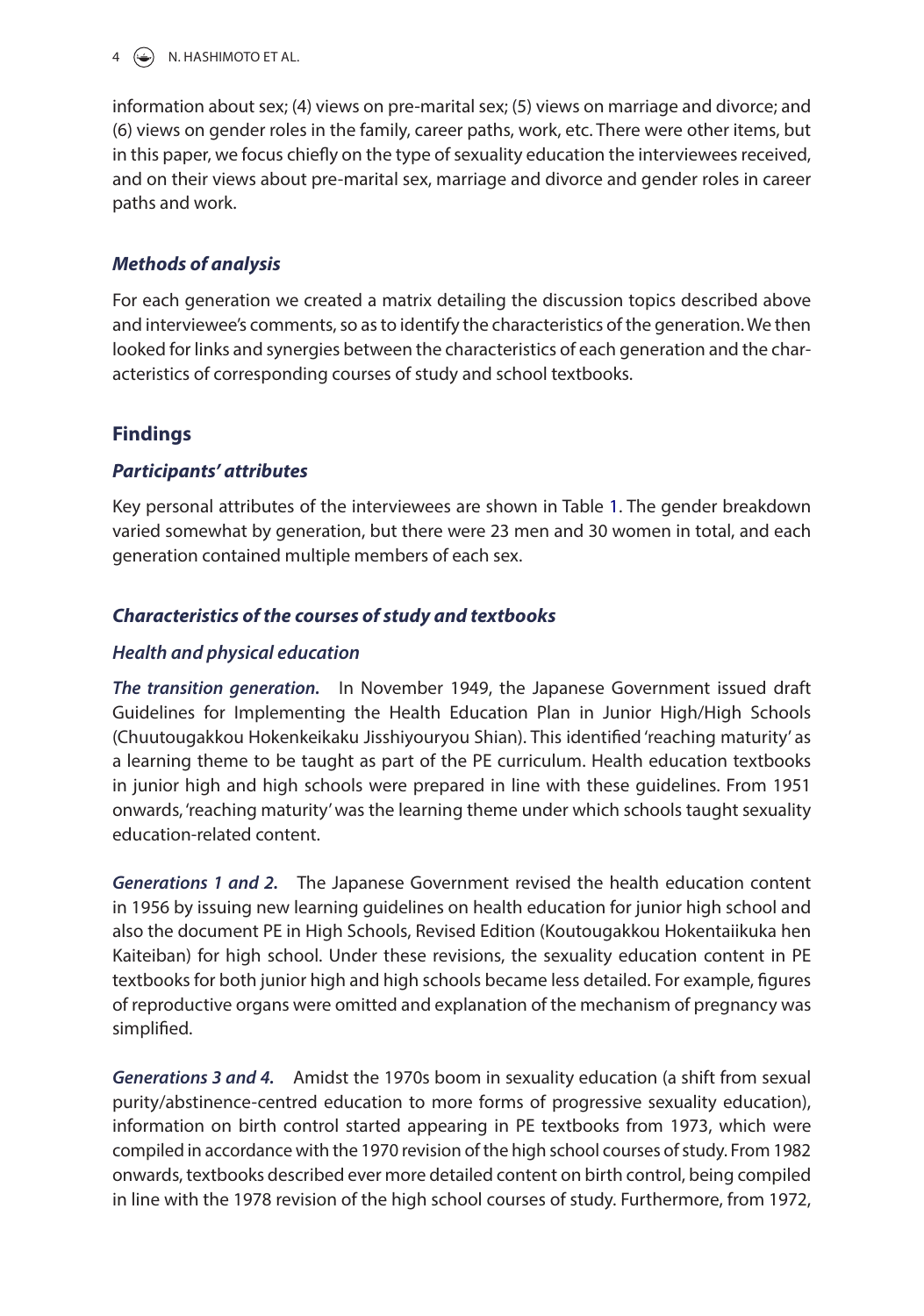$\left(\frac{1}{2}\right)$  N. HASHIMOTO ET AL.

information about sex; (4) views on pre-marital sex; (5) views on marriage and divorce; and (6) views on gender roles in the family, career paths, work, etc. There were other items, but in this paper, we focus chiefly on the type of sexuality education the interviewees received, and on their views about pre-marital sex, marriage and divorce and gender roles in career paths and work.

# *Methods of analysis*

For each generation we created a matrix detailing the discussion topics described above and interviewee's comments, so as to identify the characteristics of the generation. We then looked for links and synergies between the characteristics of each generation and the characteristics of corresponding courses of study and school textbooks.

# **Findings**

# *Participants' attributes*

Key personal attributes of the interviewees are shown in Table 1. The gender breakdown varied somewhat by generation, but there were 23 men and 30 women in total, and each generation contained multiple members of each sex.

# *Characteristics of the courses of study and textbooks*

# *Health and physical education*

*The transition generation.* In November 1949, the Japanese Government issued draft Guidelines for Implementing the Health Education Plan in Junior High/High Schools (Chuutougakkou Hokenkeikaku Jisshiyouryou Shian). This identified 'reaching maturity' as a learning theme to be taught as part of the PE curriculum. Health education textbooks in junior high and high schools were prepared in line with these guidelines. From 1951 onwards, 'reaching maturity' was the learning theme under which schools taught sexuality education-related content.

*Generations 1 and 2.* The Japanese Government revised the health education content in 1956 by issuing new learning guidelines on health education for junior high school and also the document PE in High Schools, Revised Edition (Koutougakkou Hokentaiikuka hen Kaiteiban) for high school. Under these revisions, the sexuality education content in PE textbooks for both junior high and high schools became less detailed. For example, figures of reproductive organs were omitted and explanation of the mechanism of pregnancy was simplified.

*Generations 3 and 4.* Amidst the 1970s boom in sexuality education (a shift from sexual purity/abstinence-centred education to more forms of progressive sexuality education), information on birth control started appearing in PE textbooks from 1973, which were compiled in accordance with the 1970 revision of the high school courses of study. From 1982 onwards, textbooks described ever more detailed content on birth control, being compiled in line with the 1978 revision of the high school courses of study. Furthermore, from 1972,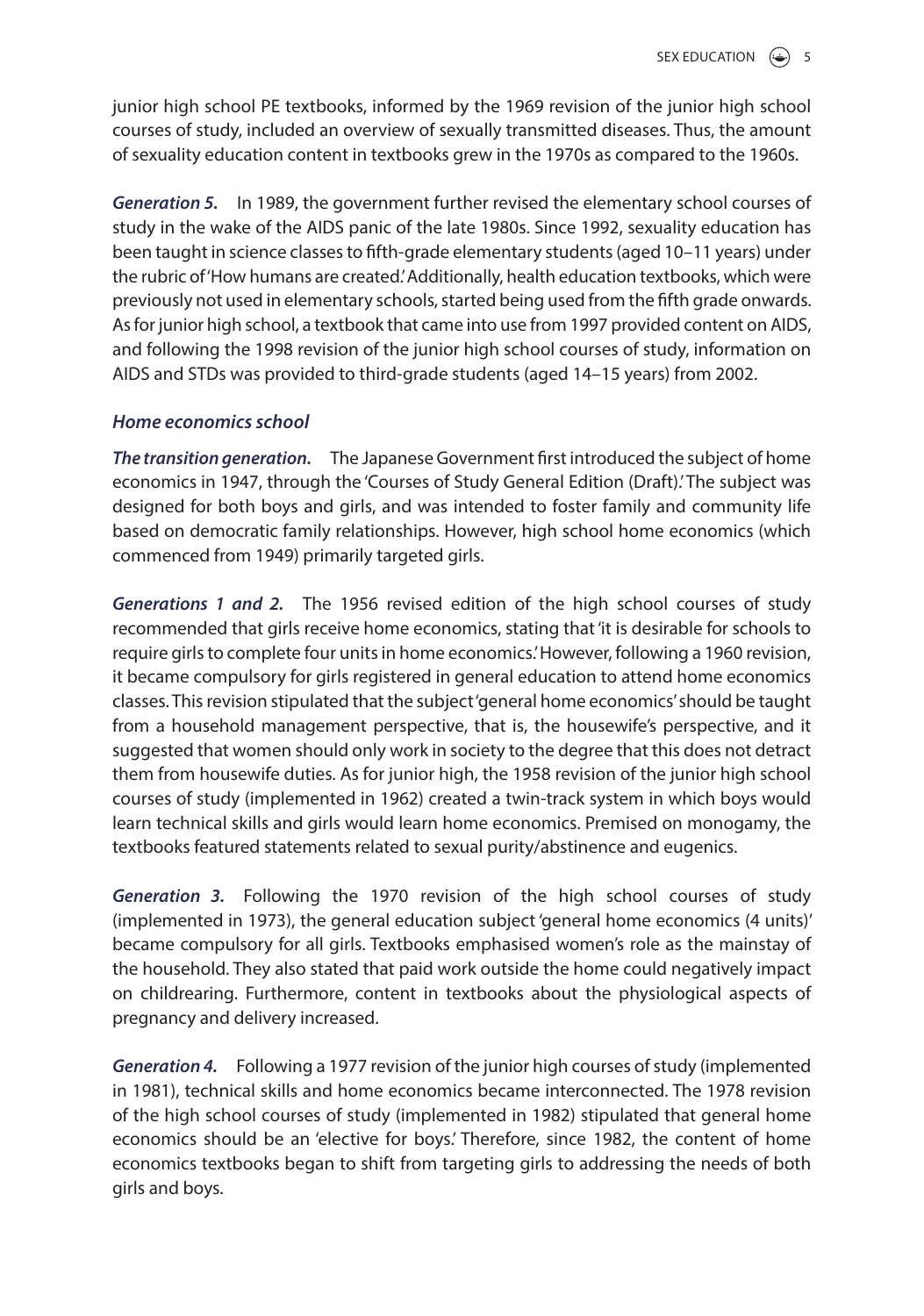junior high school PE textbooks, informed by the 1969 revision of the junior high school courses of study, included an overview of sexually transmitted diseases. Thus, the amount of sexuality education content in textbooks grew in the 1970s as compared to the 1960s.

*Generation 5.* In 1989, the government further revised the elementary school courses of study in the wake of the AIDS panic of the late 1980s. Since 1992, sexuality education has been taught in science classes to fifth-grade elementary students (aged 10–11 years) under the rubric of 'How humans are created.' Additionally, health education textbooks, which were previously not used in elementary schools, started being used from the fifth grade onwards. As for junior high school, a textbook that came into use from 1997 provided content on AIDS, and following the 1998 revision of the junior high school courses of study, information on AIDS and STDs was provided to third-grade students (aged 14–15 years) from 2002.

# *Home economics school*

*The transition generation.* The Japanese Government first introduced the subject of home economics in 1947, through the 'Courses of Study General Edition (Draft).' The subject was designed for both boys and girls, and was intended to foster family and community life based on democratic family relationships. However, high school home economics (which commenced from 1949) primarily targeted girls.

*Generations 1 and 2.* The 1956 revised edition of the high school courses of study recommended that girls receive home economics, stating that 'it is desirable for schools to require girls to complete four units in home economics.' However, following a 1960 revision, it became compulsory for girls registered in general education to attend home economics classes. This revision stipulated that the subject 'general home economics' should be taught from a household management perspective, that is, the housewife's perspective, and it suggested that women should only work in society to the degree that this does not detract them from housewife duties. As for junior high, the 1958 revision of the junior high school courses of study (implemented in 1962) created a twin-track system in which boys would learn technical skills and girls would learn home economics. Premised on monogamy, the textbooks featured statements related to sexual purity/abstinence and eugenics.

*Generation 3.* Following the 1970 revision of the high school courses of study (implemented in 1973), the general education subject 'general home economics (4 units)' became compulsory for all girls. Textbooks emphasised women's role as the mainstay of the household. They also stated that paid work outside the home could negatively impact on childrearing. Furthermore, content in textbooks about the physiological aspects of pregnancy and delivery increased.

*Generation 4.* Following a 1977 revision of the junior high courses of study (implemented in 1981), technical skills and home economics became interconnected. The 1978 revision of the high school courses of study (implemented in 1982) stipulated that general home economics should be an 'elective for boys.' Therefore, since 1982, the content of home economics textbooks began to shift from targeting girls to addressing the needs of both girls and boys.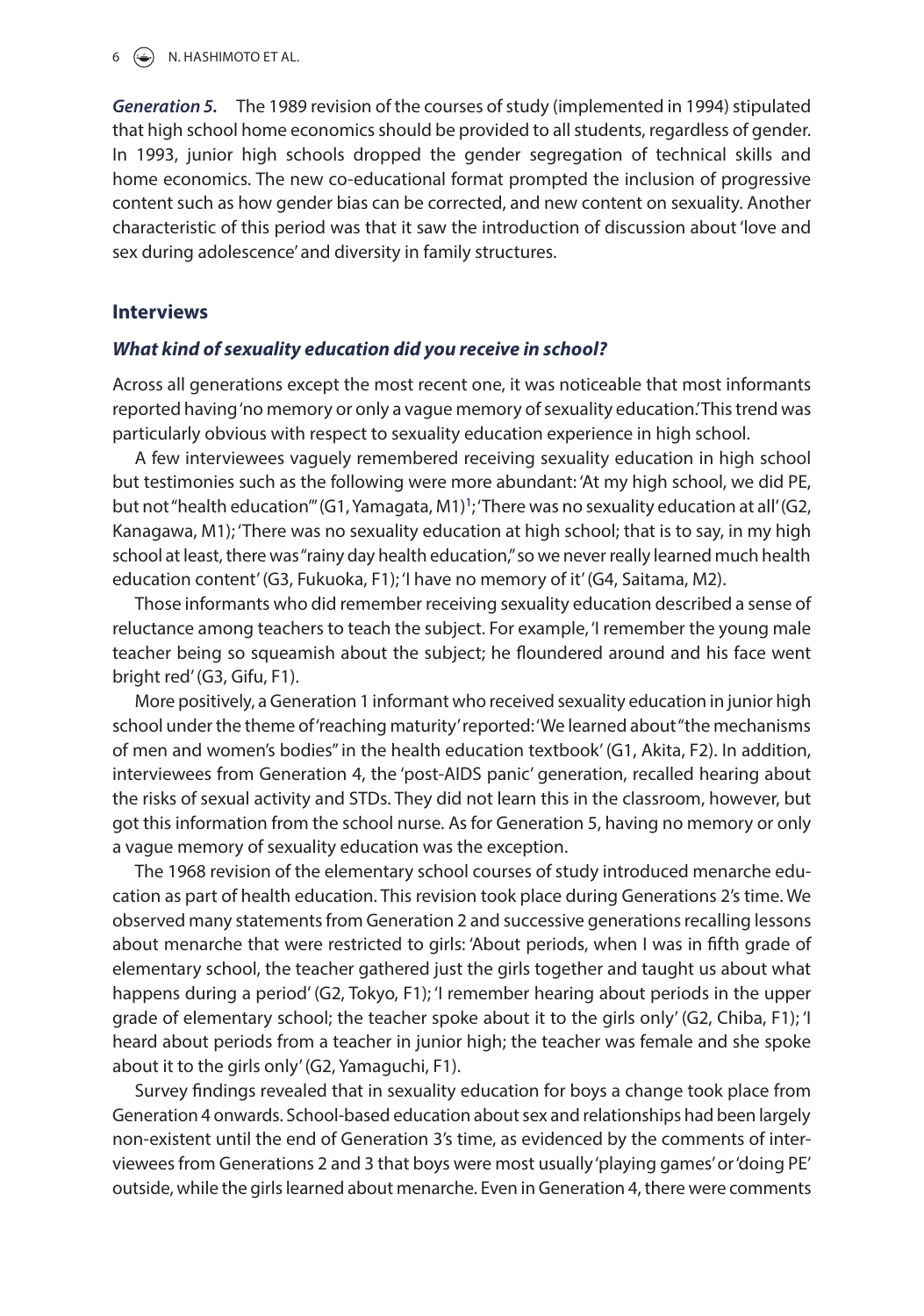$6 \quad \Leftrightarrow$  N. HASHIMOTO ET AL.

*Generation 5.* The 1989 revision of the courses of study (implemented in 1994) stipulated that high school home economics should be provided to all students, regardless of gender. In 1993, junior high schools dropped the gender segregation of technical skills and home economics. The new co-educational format prompted the inclusion of progressive content such as how gender bias can be corrected, and new content on sexuality. Another characteristic of this period was that it saw the introduction of discussion about 'love and sex during adolescence' and diversity in family structures.

## **Interviews**

#### *What kind of sexuality education did you receive in school?*

Across all generations except the most recent one, it was noticeable that most informants reported having 'no memory or only a vague memory of sexuality education.' This trend was particularly obvious with respect to sexuality education experience in high school.

A few interviewees vaguely remembered receiving sexuality education in high school but testimonies such as the following were more abundant: 'At my high school, we did PE, but not "health education"' (G1, Yamagata, M1)<sup>1</sup>; 'There was no sexuality education at all' (G2, Kanagawa, M1); 'There was no sexuality education at high school; that is to say, in my high school at least, there was "rainy day health education," so we never really learned much health education content' (G3, Fukuoka, F1); 'I have no memory of it' (G4, Saitama, M2).

Those informants who did remember receiving sexuality education described a sense of reluctance among teachers to teach the subject. For example, 'I remember the young male teacher being so squeamish about the subject; he floundered around and his face went bright red' (G3, Gifu, F1).

More positively, a Generation 1 informant who received sexuality education in junior high school under the theme of 'reaching maturity' reported: 'We learned about "the mechanisms of men and women's bodies" in the health education textbook' (G1, Akita, F2). In addition, interviewees from Generation 4, the 'post-AIDS panic' generation, recalled hearing about the risks of sexual activity and STDs. They did not learn this in the classroom, however, but got this information from the school nurse. As for Generation 5, having no memory or only a vague memory of sexuality education was the exception.

The 1968 revision of the elementary school courses of study introduced menarche education as part of health education. This revision took place during Generations 2's time. We observed many statements from Generation 2 and successive generations recalling lessons about menarche that were restricted to girls: 'About periods, when I was in fifth grade of elementary school, the teacher gathered just the girls together and taught us about what happens during a period' (G2, Tokyo, F1); 'I remember hearing about periods in the upper grade of elementary school; the teacher spoke about it to the girls only' (G2, Chiba, F1); 'I heard about periods from a teacher in junior high; the teacher was female and she spoke about it to the girls only' (G2, Yamaguchi, F1).

Survey findings revealed that in sexuality education for boys a change took place from Generation 4 onwards. School-based education about sex and relationships had been largely non-existent until the end of Generation 3's time, as evidenced by the comments of interviewees from Generations 2 and 3 that boys were most usually 'playing games' or 'doing PE' outside, while the girls learned about menarche. Even in Generation 4, there were comments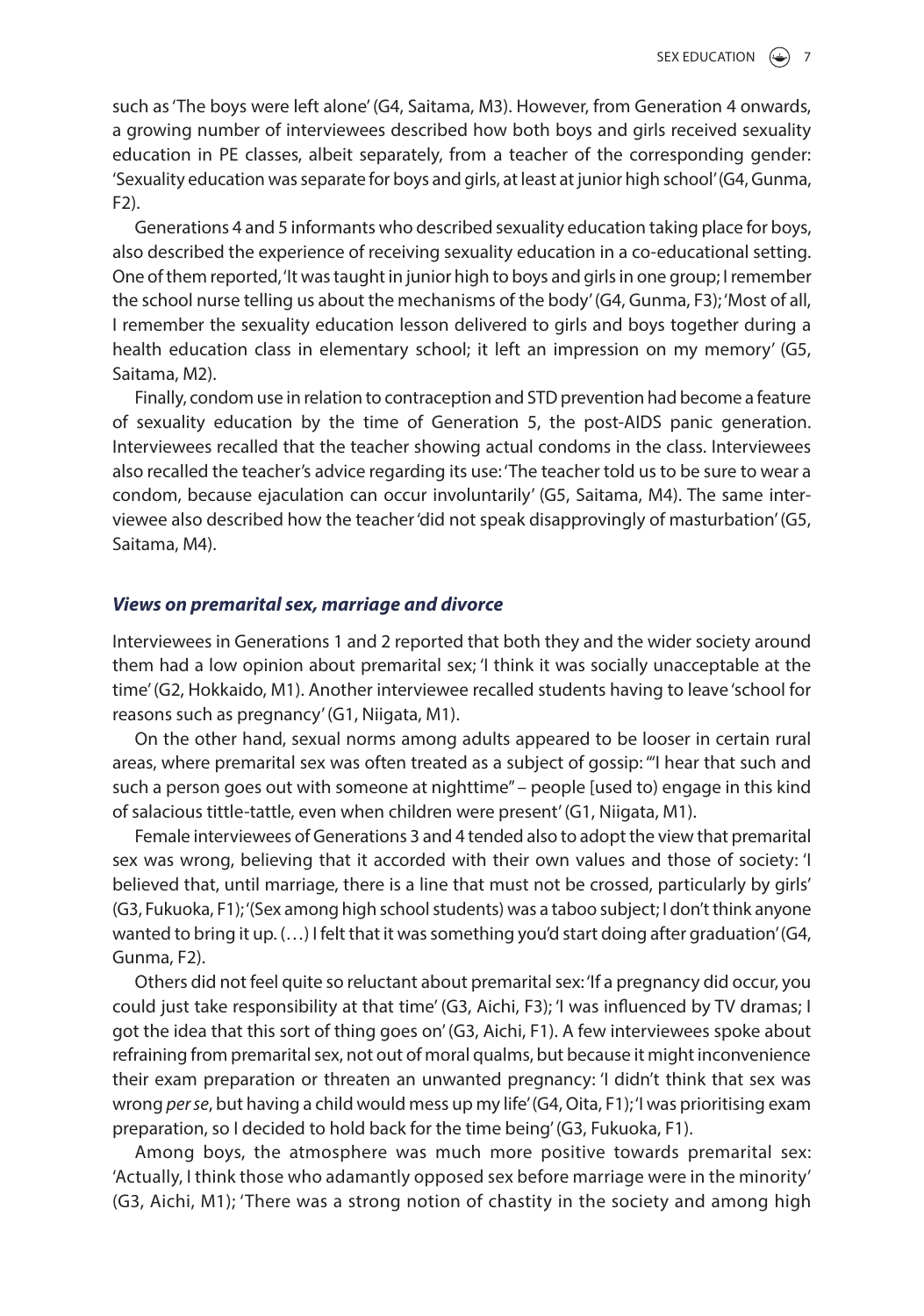such as 'The boys were left alone' (G4, Saitama, M3). However, from Generation 4 onwards, a growing number of interviewees described how both boys and girls received sexuality education in PE classes, albeit separately, from a teacher of the corresponding gender: 'Sexuality education was separate for boys and girls, at least at junior high school' (G4, Gunma,  $F2$ ).

Generations 4 and 5 informants who described sexuality education taking place for boys, also described the experience of receiving sexuality education in a co-educational setting. One of them reported, 'It was taught in junior high to boys and girls in one group; I remember the school nurse telling us about the mechanisms of the body' (G4, Gunma, F3); 'Most of all, I remember the sexuality education lesson delivered to girls and boys together during a health education class in elementary school; it left an impression on my memory' (G5, Saitama, M2).

Finally, condom use in relation to contraception and STD prevention had become a feature of sexuality education by the time of Generation 5, the post-AIDS panic generation. Interviewees recalled that the teacher showing actual condoms in the class. Interviewees also recalled the teacher's advice regarding its use: 'The teacher told us to be sure to wear a condom, because ejaculation can occur involuntarily' (G5, Saitama, M4). The same interviewee also described how the teacher 'did not speak disapprovingly of masturbation' (G5, Saitama, M4).

#### *Views on premarital sex, marriage and divorce*

Interviewees in Generations 1 and 2 reported that both they and the wider society around them had a low opinion about premarital sex; 'I think it was socially unacceptable at the time' (G2, Hokkaido, M1). Another interviewee recalled students having to leave 'school for reasons such as pregnancy' (G1, Niigata, M1).

On the other hand, sexual norms among adults appeared to be looser in certain rural areas, where premarital sex was often treated as a subject of gossip: '"I hear that such and such a person goes out with someone at nighttime" – people [used to) engage in this kind of salacious tittle-tattle, even when children were present' (G1, Niigata, M1).

Female interviewees of Generations 3 and 4 tended also to adopt the view that premarital sex was wrong, believing that it accorded with their own values and those of society: 'I believed that, until marriage, there is a line that must not be crossed, particularly by girls' (G3, Fukuoka, F1); '(Sex among high school students) was a taboo subject; I don't think anyone wanted to bring it up.  $(...)$  I felt that it was something you'd start doing after graduation' (G4, Gunma, F2).

Others did not feel quite so reluctant about premarital sex: 'If a pregnancy did occur, you could just take responsibility at that time' (G3, Aichi, F3); 'I was influenced by TV dramas; I got the idea that this sort of thing goes on' (G3, Aichi, F1). A few interviewees spoke about refraining from premarital sex, not out of moral qualms, but because it might inconvenience their exam preparation or threaten an unwanted pregnancy: 'I didn't think that sex was wrong *per se*, but having a child would mess up my life' (G4, Oita, F1); 'I was prioritising exam preparation, so I decided to hold back for the time being' (G3, Fukuoka, F1).

Among boys, the atmosphere was much more positive towards premarital sex: 'Actually, I think those who adamantly opposed sex before marriage were in the minority' (G3, Aichi, M1); 'There was a strong notion of chastity in the society and among high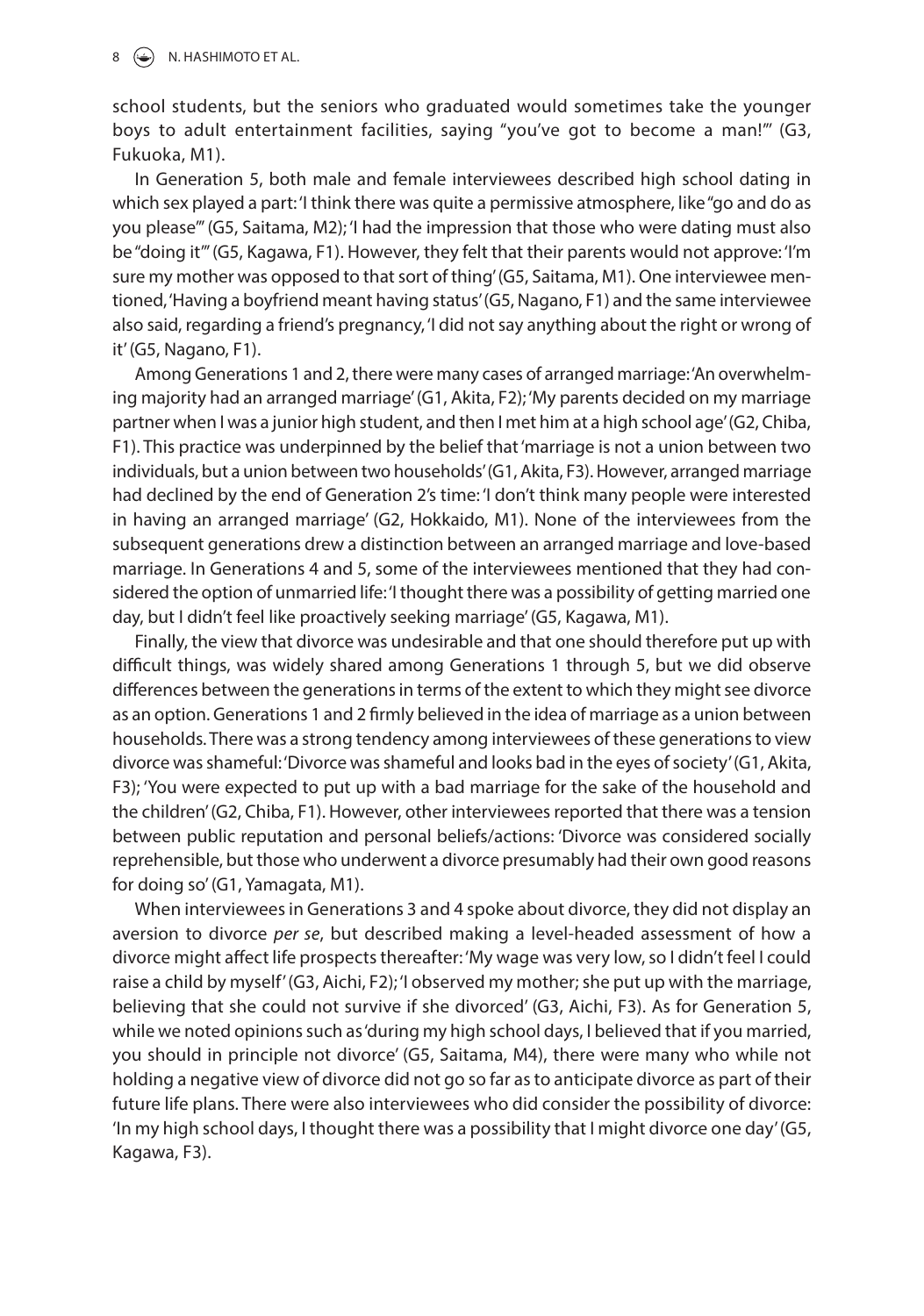#### $\circ$  N. HASHIMOTO ET AL.

school students, but the seniors who graduated would sometimes take the younger boys to adult entertainment facilities, saying "you've got to become a man!"' (G3, Fukuoka, M1).

In Generation 5, both male and female interviewees described high school dating in which sex played a part: 'I think there was quite a permissive atmosphere, like "go and do as you please"' (G5, Saitama, M2); 'I had the impression that those who were dating must also be "doing it"' (G5, Kagawa, F1). However, they felt that their parents would not approve: 'I'm sure my mother was opposed to that sort of thing' (G5, Saitama, M1). One interviewee mentioned, 'Having a boyfriend meant having status' (G5, Nagano, F1) and the same interviewee also said, regarding a friend's pregnancy, 'I did not say anything about the right or wrong of it' (G5, Nagano, F1).

Among Generations 1 and 2, there were many cases of arranged marriage: 'An overwhelming majority had an arranged marriage' (G1, Akita, F2); 'My parents decided on my marriage partner when I was a junior high student, and then I met him at a high school age' (G2, Chiba, F1). This practice was underpinned by the belief that 'marriage is not a union between two individuals, but a union between two households' (G1, Akita, F3). However, arranged marriage had declined by the end of Generation 2's time: 'I don't think many people were interested in having an arranged marriage' (G2, Hokkaido, M1). None of the interviewees from the subsequent generations drew a distinction between an arranged marriage and love-based marriage. In Generations 4 and 5, some of the interviewees mentioned that they had considered the option of unmarried life: 'I thought there was a possibility of getting married one day, but I didn't feel like proactively seeking marriage' (G5, Kagawa, M1).

Finally, the view that divorce was undesirable and that one should therefore put up with difficult things, was widely shared among Generations 1 through 5, but we did observe differences between the generations in terms of the extent to which they might see divorce as an option. Generations 1 and 2 firmly believed in the idea of marriage as a union between households. There was a strong tendency among interviewees of these generations to view divorce was shameful: 'Divorce was shameful and looks bad in the eyes of society' (G1, Akita, F3); 'You were expected to put up with a bad marriage for the sake of the household and the children' (G2, Chiba, F1). However, other interviewees reported that there was a tension between public reputation and personal beliefs/actions: 'Divorce was considered socially reprehensible, but those who underwent a divorce presumably had their own good reasons for doing so' (G1, Yamagata, M1).

When interviewees in Generations 3 and 4 spoke about divorce, they did not display an aversion to divorce *per se*, but described making a level-headed assessment of how a divorce might affect life prospects thereafter: 'My wage was very low, so I didn't feel I could raise a child by myself' (G3, Aichi, F2); 'I observed my mother; she put up with the marriage, believing that she could not survive if she divorced' (G3, Aichi, F3). As for Generation 5, while we noted opinions such as 'during my high school days, I believed that if you married, you should in principle not divorce' (G5, Saitama, M4), there were many who while not holding a negative view of divorce did not go so far as to anticipate divorce as part of their future life plans. There were also interviewees who did consider the possibility of divorce: 'In my high school days, I thought there was a possibility that I might divorce one day' (G5, Kagawa, F3).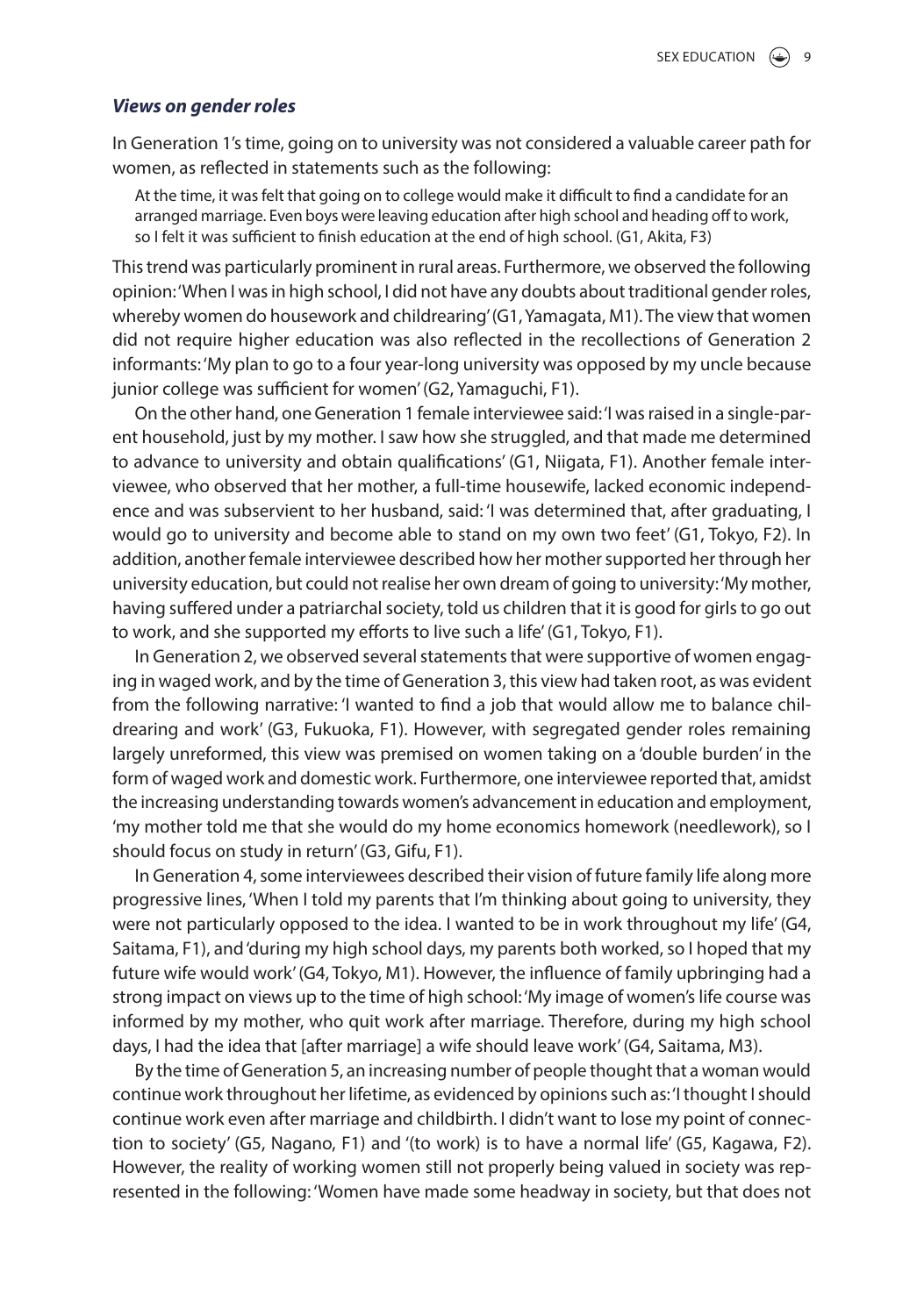#### *Views on gender roles*

In Generation 1's time, going on to university was not considered a valuable career path for women, as reflected in statements such as the following:

At the time, it was felt that going on to college would make it difficult to find a candidate for an arranged marriage. Even boys were leaving education after high school and heading off to work, so I felt it was sufficient to finish education at the end of high school. (G1, Akita, F3)

This trend was particularly prominent in rural areas. Furthermore, we observed the following opinion: 'When I was in high school, I did not have any doubts about traditional gender roles, whereby women do housework and childrearing' (G1, Yamagata, M1). The view that women did not require higher education was also reflected in the recollections of Generation 2 informants: 'My plan to go to a four year-long university was opposed by my uncle because junior college was sufficient for women' (G2, Yamaguchi, F1).

On the other hand, one Generation 1 female interviewee said: 'I was raised in a single-parent household, just by my mother. I saw how she struggled, and that made me determined to advance to university and obtain qualifications' (G1, Niigata, F1). Another female interviewee, who observed that her mother, a full-time housewife, lacked economic independence and was subservient to her husband, said: 'I was determined that, after graduating, I would go to university and become able to stand on my own two feet' (G1, Tokyo, F2). In addition, another female interviewee described how her mother supported her through her university education, but could not realise her own dream of going to university: 'My mother, having suffered under a patriarchal society, told us children that it is good for girls to go out to work, and she supported my efforts to live such a life' (G1, Tokyo, F1).

In Generation 2, we observed several statements that were supportive of women engaging in waged work, and by the time of Generation 3, this view had taken root, as was evident from the following narrative: 'I wanted to find a job that would allow me to balance childrearing and work' (G3, Fukuoka, F1). However, with segregated gender roles remaining largely unreformed, this view was premised on women taking on a 'double burden' in the form of waged work and domestic work. Furthermore, one interviewee reported that, amidst the increasing understanding towards women's advancement in education and employment, 'my mother told me that she would do my home economics homework (needlework), so I should focus on study in return' (G3, Gifu, F1).

In Generation 4, some interviewees described their vision of future family life along more progressive lines, 'When I told my parents that I'm thinking about going to university, they were not particularly opposed to the idea. I wanted to be in work throughout my life' (G4, Saitama, F1), and 'during my high school days, my parents both worked, so I hoped that my future wife would work' (G4, Tokyo, M1). However, the influence of family upbringing had a strong impact on views up to the time of high school: 'My image of women's life course was informed by my mother, who quit work after marriage. Therefore, during my high school days, I had the idea that [after marriage] a wife should leave work' (G4, Saitama, M3).

By the time of Generation 5, an increasing number of people thought that a woman would continue work throughout her lifetime, as evidenced by opinions such as: 'I thought I should continue work even after marriage and childbirth. I didn't want to lose my point of connection to society' (G5, Nagano, F1) and '(to work) is to have a normal life' (G5, Kagawa, F2). However, the reality of working women still not properly being valued in society was represented in the following: 'Women have made some headway in society, but that does not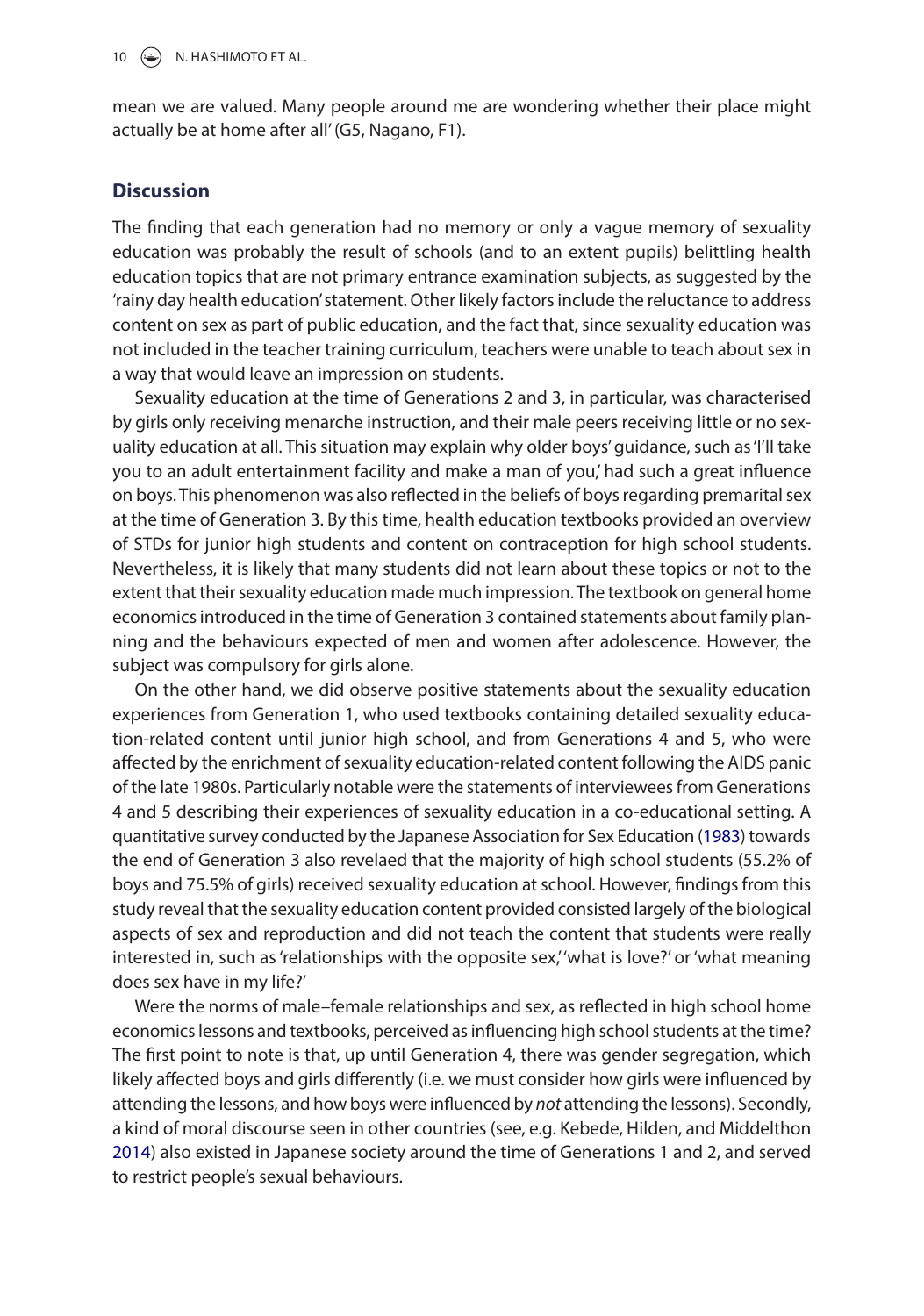mean we are valued. Many people around me are wondering whether their place might actually be at home after all' (G5, Nagano, F1).

#### **Discussion**

The finding that each generation had no memory or only a vague memory of sexuality education was probably the result of schools (and to an extent pupils) belittling health education topics that are not primary entrance examination subjects, as suggested by the 'rainy day health education' statement. Other likely factors include the reluctance to address content on sex as part of public education, and the fact that, since sexuality education was not included in the teacher training curriculum, teachers were unable to teach about sex in a way that would leave an impression on students.

Sexuality education at the time of Generations 2 and 3, in particular, was characterised by girls only receiving menarche instruction, and their male peers receiving little or no sexuality education at all. This situation may explain why older boys' guidance, such as 'I'll take you to an adult entertainment facility and make a man of you,' had such a great influence on boys. This phenomenon was also reflected in the beliefs of boys regarding premarital sex at the time of Generation 3. By this time, health education textbooks provided an overview of STDs for junior high students and content on contraception for high school students. Nevertheless, it is likely that many students did not learn about these topics or not to the extent that their sexuality education made much impression. The textbook on general home economics introduced in the time of Generation 3 contained statements about family planning and the behaviours expected of men and women after adolescence. However, the subject was compulsory for girls alone.

<span id="page-10-0"></span>On the other hand, we did observe positive statements about the sexuality education experiences from Generation 1, who used textbooks containing detailed sexuality education-related content until junior high school, and from Generations 4 and 5, who were affected by the enrichment of sexuality education-related content following the AIDS panic of the late 1980s. Particularly notable were the statements of interviewees from Generations 4 and 5 describing their experiences of sexuality education in a co-educational setting. A quantitative survey conducted by the Japanese Association for Sex Education ([1983\)](#page-13-10) towards the end of Generation 3 also revelaed that the majority of high school students (55.2% of boys and 75.5% of girls) received sexuality education at school. However, findings from this study reveal that the sexuality education content provided consisted largely of the biological aspects of sex and reproduction and did not teach the content that students were really interested in, such as 'relationships with the opposite sex,' what is love?' or 'what meaning does sex have in my life?'

<span id="page-10-1"></span>Were the norms of male–female relationships and sex, as reflected in high school home economics lessons and textbooks, perceived as influencing high school students at the time? The first point to note is that, up until Generation 4, there was gender segregation, which likely affected boys and girls differently (i.e. we must consider how girls were influenced by attending the lessons, and how boys were influenced by *not* attending the lessons). Secondly, a kind of moral discourse seen in other countries (see, e.g. Kebede, Hilden, and Middelthon [2014\)](#page-13-11) also existed in Japanese society around the time of Generations 1 and 2, and served to restrict people's sexual behaviours.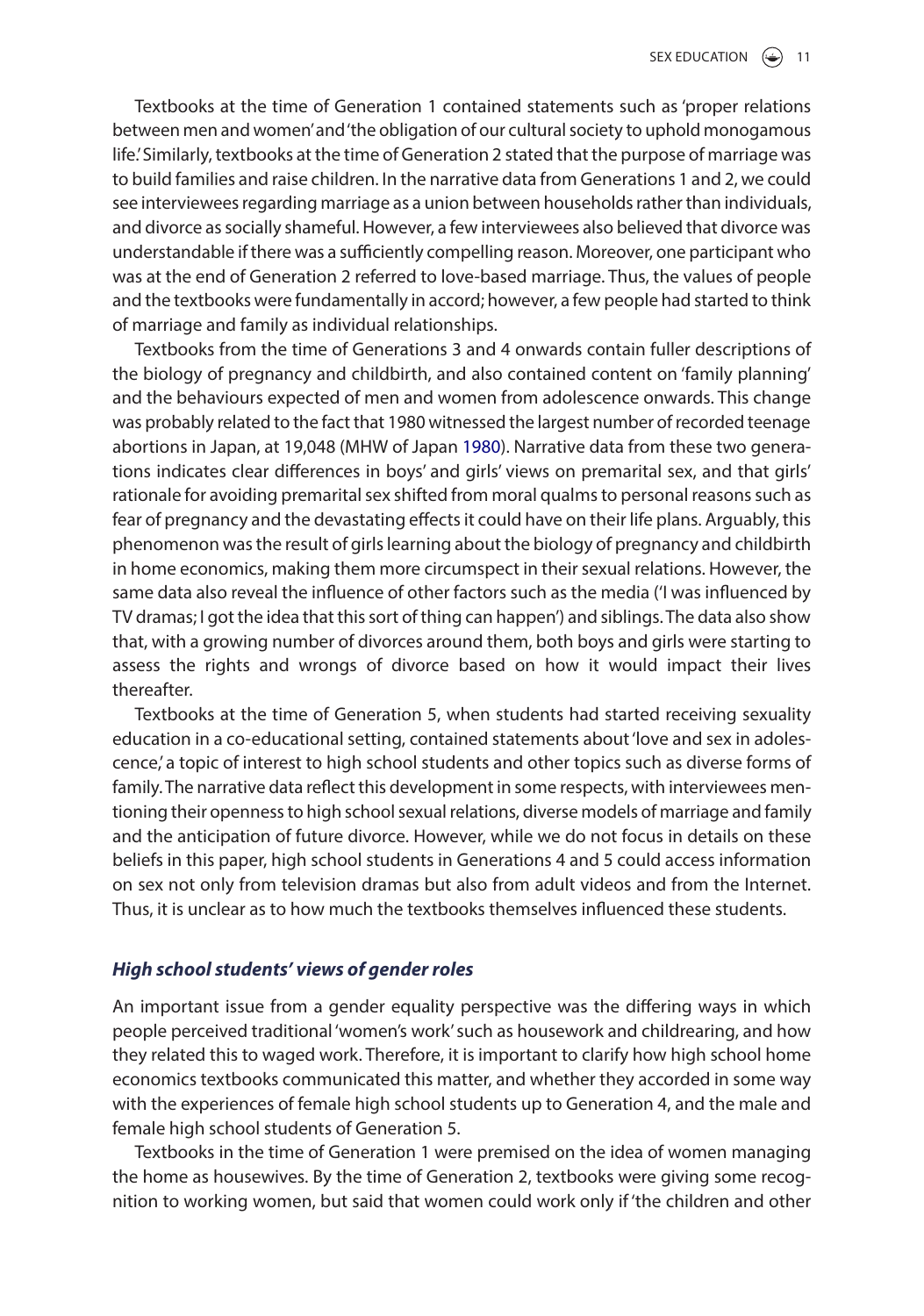Textbooks at the time of Generation 1 contained statements such as 'proper relations between men and women' and 'the obligation of our cultural society to uphold monogamous life.' Similarly, textbooks at the time of Generation 2 stated that the purpose of marriage was to build families and raise children. In the narrative data from Generations 1 and 2, we could see interviewees regarding marriage as a union between households rather than individuals, and divorce as socially shameful. However, a few interviewees also believed that divorce was understandable if there was a sufficiently compelling reason. Moreover, one participant who was at the end of Generation 2 referred to love-based marriage. Thus, the values of people and the textbooks were fundamentally in accord; however, a few people had started to think of marriage and family as individual relationships.

<span id="page-11-0"></span>Textbooks from the time of Generations 3 and 4 onwards contain fuller descriptions of the biology of pregnancy and childbirth, and also contained content on 'family planning' and the behaviours expected of men and women from adolescence onwards. This change was probably related to the fact that 1980 witnessed the largest number of recorded teenage abortions in Japan, at 19,048 (MHW of Japan [1980](#page-13-12)). Narrative data from these two generations indicates clear differences in boys' and girls' views on premarital sex, and that girls' rationale for avoiding premarital sex shifted from moral qualms to personal reasons such as fear of pregnancy and the devastating effects it could have on their life plans. Arguably, this phenomenon was the result of girls learning about the biology of pregnancy and childbirth in home economics, making them more circumspect in their sexual relations. However, the same data also reveal the influence of other factors such as the media ('I was influenced by TV dramas; I got the idea that this sort of thing can happen') and siblings. The data also show that, with a growing number of divorces around them, both boys and girls were starting to assess the rights and wrongs of divorce based on how it would impact their lives thereafter.

Textbooks at the time of Generation 5, when students had started receiving sexuality education in a co-educational setting, contained statements about 'love and sex in adolescence,' a topic of interest to high school students and other topics such as diverse forms of family. The narrative data reflect this development in some respects, with interviewees mentioning their openness to high school sexual relations, diverse models of marriage and family and the anticipation of future divorce. However, while we do not focus in details on these beliefs in this paper, high school students in Generations 4 and 5 could access information on sex not only from television dramas but also from adult videos and from the Internet. Thus, it is unclear as to how much the textbooks themselves influenced these students.

## *High school students' views of gender roles*

An important issue from a gender equality perspective was the differing ways in which people perceived traditional 'women's work' such as housework and childrearing, and how they related this to waged work. Therefore, it is important to clarify how high school home economics textbooks communicated this matter, and whether they accorded in some way with the experiences of female high school students up to Generation 4, and the male and female high school students of Generation 5.

Textbooks in the time of Generation 1 were premised on the idea of women managing the home as housewives. By the time of Generation 2, textbooks were giving some recognition to working women, but said that women could work only if 'the children and other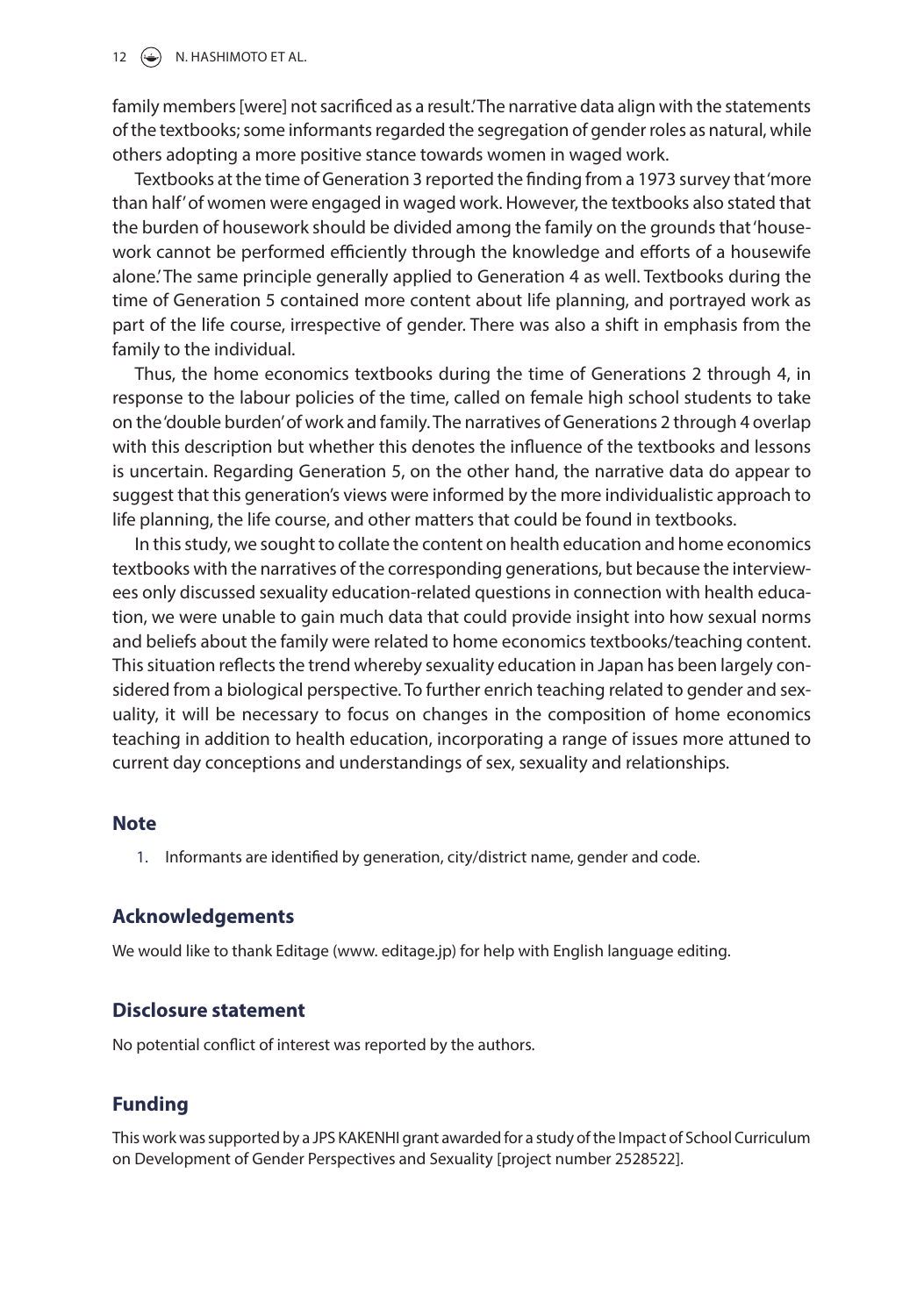#### $12 \quad \circledcirc$  N. HASHIMOTO ET AL.

family members [were] not sacrificed as a result. The narrative data align with the statements of the textbooks; some informants regarded the segregation of gender roles as natural, while others adopting a more positive stance towards women in waged work.

Textbooks at the time of Generation 3 reported the finding from a 1973 survey that 'more than half' of women were engaged in waged work. However, the textbooks also stated that the burden of housework should be divided among the family on the grounds that 'housework cannot be performed efficiently through the knowledge and efforts of a housewife alone.' The same principle generally applied to Generation 4 as well. Textbooks during the time of Generation 5 contained more content about life planning, and portrayed work as part of the life course, irrespective of gender. There was also a shift in emphasis from the family to the individual.

Thus, the home economics textbooks during the time of Generations 2 through 4, in response to the labour policies of the time, called on female high school students to take on the 'double burden' of work and family. The narratives of Generations 2 through 4 overlap with this description but whether this denotes the influence of the textbooks and lessons is uncertain. Regarding Generation 5, on the other hand, the narrative data do appear to suggest that this generation's views were informed by the more individualistic approach to life planning, the life course, and other matters that could be found in textbooks.

In this study, we sought to collate the content on health education and home economics textbooks with the narratives of the corresponding generations, but because the interviewees only discussed sexuality education-related questions in connection with health education, we were unable to gain much data that could provide insight into how sexual norms and beliefs about the family were related to home economics textbooks/teaching content. This situation reflects the trend whereby sexuality education in Japan has been largely considered from a biological perspective. To further enrich teaching related to gender and sexuality, it will be necessary to focus on changes in the composition of home economics teaching in addition to health education, incorporating a range of issues more attuned to current day conceptions and understandings of sex, sexuality and relationships.

#### **Note**

<span id="page-12-0"></span>1. Informants are identified by generation, city/district name, gender and code.

#### **Acknowledgements**

We would like to thank Editage (www. editage.jp) for help with English language editing.

#### **Disclosure statement**

No potential conflict of interest was reported by the authors.

#### **Funding**

This work was supported by a JPS KAKENHI grant awarded for a study of the Impact of School Curriculum on Development of Gender Perspectives and Sexuality [project number 2528522].